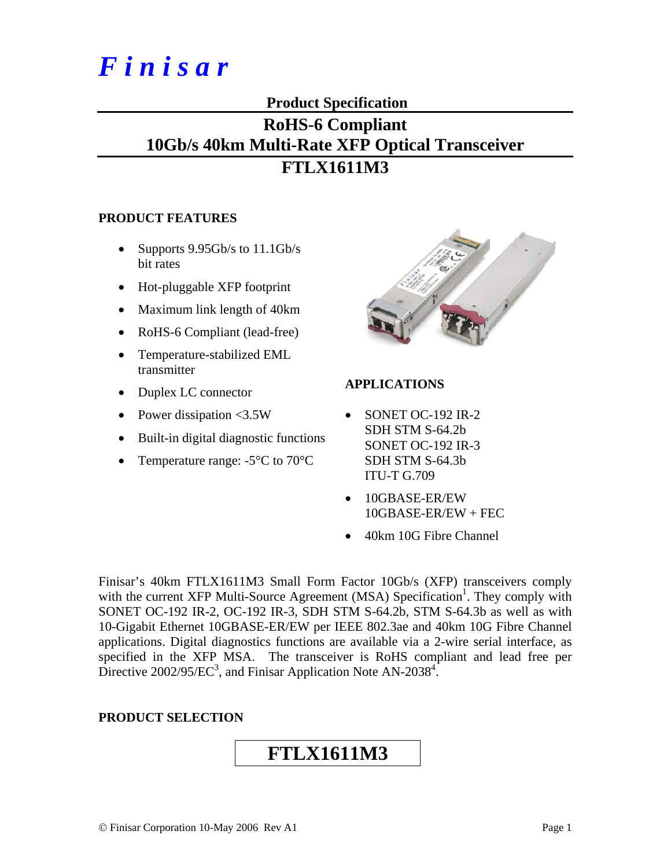# *F i n i s a r*

#### **Product Specification**

### **RoHS-6 Compliant 10Gb/s 40km Multi-Rate XFP Optical Transceiver FTLX1611M3**

#### **PRODUCT FEATURES**

- Supports  $9.95Gb/s$  to  $11.1Gb/s$ bit rates
- Hot-pluggable XFP footprint
- Maximum link length of 40km
- RoHS-6 Compliant (lead-free)
- Temperature-stabilized EML transmitter
- Duplex LC connector
- Power dissipation <3.5W
- Built-in digital diagnostic functions
- Temperature range: -5<sup>o</sup>C to 70<sup>o</sup>C



#### **APPLICATIONS**

- SONET OC-192 IR-2 SDH STM S-64.2b SONET OC-192 IR-3 SDH STM S-64.3b ITU-T G.709
- 10GBASE-ER/EW 10GBASE-ER/EW + FEC
- 40km 10G Fibre Channel

Finisar's 40km FTLX1611M3 Small Form Factor 10Gb/s (XFP) transceivers comply with the current XFP Multi-Source Agreement (MSA) Specification<sup>1</sup>. They comply with SONET OC-192 IR-2, OC-192 IR-3, SDH STM S-64.2b, STM S-64.3b as well as with 10-Gigabit Ethernet 10GBASE-ER/EW per IEEE 802.3ae and 40km 10G Fibre Channel applications. Digital diagnostics functions are available via a 2-wire serial interface, as specified in the XFP MSA. The transceiver is RoHS compliant and lead free per Directive 2002/95/EC<sup>3</sup>, and Finisar Application Note AN-2038<sup>4</sup>.

#### **PRODUCT SELECTION**

## **FTLX1611M3**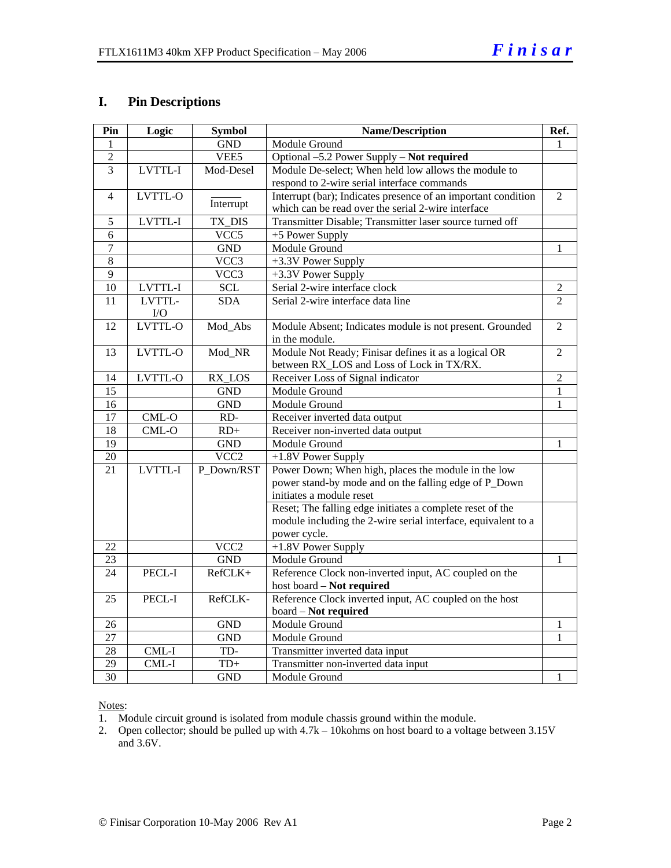#### **I. Pin Descriptions**

| Pin             | Logic    | <b>Symbol</b>            | <b>Name/Description</b>                                       | Ref.           |
|-----------------|----------|--------------------------|---------------------------------------------------------------|----------------|
| 1               |          | <b>GND</b>               | Module Ground                                                 | 1              |
| $\overline{2}$  |          | VEE5                     | Optional -5.2 Power Supply - Not required                     |                |
| 3               | LVTTL-I  | Mod-Desel                | Module De-select; When held low allows the module to          |                |
|                 |          |                          | respond to 2-wire serial interface commands                   |                |
| $\overline{4}$  | LVTTL-O  | Interrupt                | Interrupt (bar); Indicates presence of an important condition | $\overline{2}$ |
|                 |          |                          | which can be read over the serial 2-wire interface            |                |
| 5               | LVTTL-I  | TX_DIS                   | Transmitter Disable; Transmitter laser source turned off      |                |
| 6               |          | VCC5                     | +5 Power Supply                                               |                |
| $\overline{7}$  |          | <b>GND</b>               | Module Ground                                                 | 1              |
| 8               |          | $\overline{\text{VCC3}}$ | $\overline{+3.3}$ V Power Supply                              |                |
| 9               |          | $\overline{VCC3}$        | +3.3V Power Supply                                            |                |
| $\overline{10}$ | LVTTL-I  | <b>SCL</b>               | Serial 2-wire interface clock                                 | $\mathfrak{2}$ |
| 11              | LVTTL-   | <b>SDA</b>               | Serial 2-wire interface data line                             | $\overline{2}$ |
|                 | $\rm LO$ |                          |                                                               |                |
| 12              | LVTTL-O  | Mod Abs                  | Module Absent; Indicates module is not present. Grounded      | $\overline{2}$ |
|                 |          |                          | in the module.                                                |                |
| 13              | LVTTL-O  | Mod_NR                   | Module Not Ready; Finisar defines it as a logical OR          | $\overline{2}$ |
|                 |          |                          | between RX_LOS and Loss of Lock in TX/RX.                     |                |
| 14              | LVTTL-O  | RX_LOS                   | Receiver Loss of Signal indicator                             | $\overline{2}$ |
| 15              |          | <b>GND</b>               | Module Ground                                                 | 1              |
| 16              |          | <b>GND</b>               | Module Ground                                                 | 1              |
| 17              | $CML-O$  | RD-                      | Receiver inverted data output                                 |                |
| 18              | $CML-O$  | $RD+$                    | Receiver non-inverted data output                             |                |
| $\overline{19}$ |          | <b>GND</b>               | Module Ground                                                 | 1              |
| $20\,$          |          | VCC <sub>2</sub>         | +1.8V Power Supply                                            |                |
| 21              | LVTTL-I  | P_Down/RST               | Power Down; When high, places the module in the low           |                |
|                 |          |                          | power stand-by mode and on the falling edge of P_Down         |                |
|                 |          |                          | initiates a module reset                                      |                |
|                 |          |                          | Reset; The falling edge initiates a complete reset of the     |                |
|                 |          |                          | module including the 2-wire serial interface, equivalent to a |                |
|                 |          |                          | power cycle.                                                  |                |
| 22              |          | VCC <sub>2</sub>         | +1.8V Power Supply                                            |                |
| 23              |          | <b>GND</b>               | Module Ground                                                 | 1              |
| 24              | PECL-I   | RefCLK+                  | Reference Clock non-inverted input, AC coupled on the         |                |
|                 |          |                          | host board - Not required                                     |                |
| 25              | PECL-I   | RefCLK-                  | Reference Clock inverted input, AC coupled on the host        |                |
|                 |          |                          | board - Not required                                          |                |
| 26              |          | <b>GND</b>               | Module Ground                                                 | 1              |
| 27              |          | <b>GND</b>               | Module Ground                                                 | 1              |
| 28              | CML-I    | TD-                      | Transmitter inverted data input                               |                |
| $\overline{29}$ | CML-I    | $TD+$                    | Transmitter non-inverted data input                           |                |
| $\overline{30}$ |          | <b>GND</b>               | Module Ground                                                 | 1              |

#### Notes:

1. Module circuit ground is isolated from module chassis ground within the module.

2. Open collector; should be pulled up with 4.7k – 10kohms on host board to a voltage between 3.15V and 3.6V.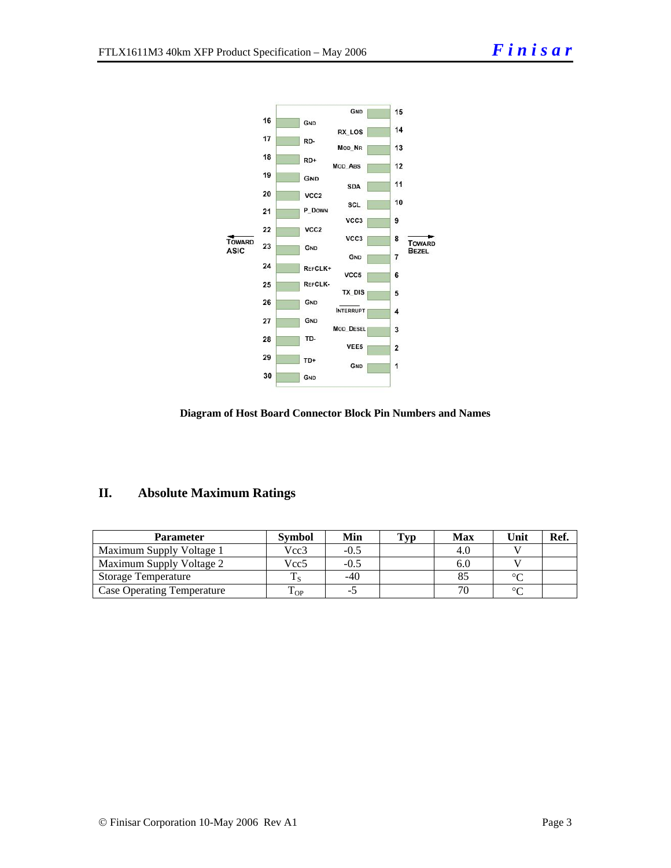

#### **Diagram of Host Board Connector Block Pin Numbers and Names**

#### **II. Absolute Maximum Ratings**

| <b>Parameter</b>                  | <b>Symbol</b> | Min   | Typ | <b>Max</b> | Unit   | Ref. |
|-----------------------------------|---------------|-------|-----|------------|--------|------|
| Maximum Supply Voltage 1          | Vcc3          | -0.5  |     | -4.U       |        |      |
| Maximum Supply Voltage 2          | Vcc5          | -0.5  |     | 6.U        |        |      |
| <b>Storage Temperature</b>        |               | $-40$ |     |            | $\sim$ |      |
| <b>Case Operating Temperature</b> | L OP          | -. 1  |     |            |        |      |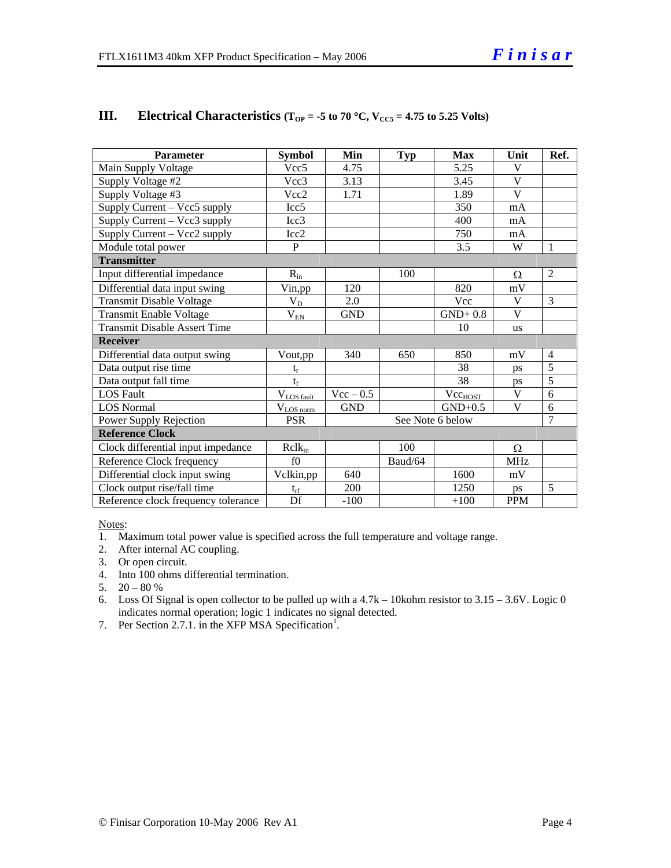| <b>Parameter</b>                    | <b>Symbol</b>            | Min         | <b>Typ</b> | <b>Max</b>          | Unit                    | Ref.           |
|-------------------------------------|--------------------------|-------------|------------|---------------------|-------------------------|----------------|
| Main Supply Voltage                 | Vcc <sub>5</sub>         | 4.75        |            | 5.25                | V                       |                |
| Supply Voltage #2                   | Vec <sub>3</sub>         | 3.13        |            | 3.45                | $\overline{\mathbf{V}}$ |                |
| Supply Voltage #3                   | Vcc2                     | 1.71        |            | 1.89                | $\mathbf{V}$            |                |
| Supply Current – Vcc5 supply        | Icc <sub>5</sub>         |             |            | 350                 | mA                      |                |
| Supply Current – Vcc3 supply        | Icc3                     |             |            | 400                 | mA                      |                |
| Supply Current – Vcc2 supply        | Icc2                     |             |            | 750                 | mA                      |                |
| Module total power                  | P                        |             |            | 3.5                 | W                       | 1              |
| <b>Transmitter</b>                  |                          |             |            |                     |                         |                |
| Input differential impedance        | $R_{in}$                 |             | 100        |                     | Ω                       | 2              |
| Differential data input swing       | Vin, pp                  | 120         |            | 820                 | mV                      |                |
| <b>Transmit Disable Voltage</b>     | $V_D$                    | 2.0         |            | <b>Vcc</b>          | V                       | 3              |
| Transmit Enable Voltage             | $\rm V_{\underline{EN}}$ | <b>GND</b>  |            | $GND+0.8$           | V                       |                |
| <b>Transmit Disable Assert Time</b> |                          |             |            | 10                  | <b>us</b>               |                |
| <b>Receiver</b>                     |                          |             |            |                     |                         |                |
| Differential data output swing      | Vout,pp                  | 340         | 650        | 850                 | mV                      | $\overline{4}$ |
| Data output rise time               | $t_r$                    |             |            | 38                  | ps                      | $\overline{5}$ |
| Data output fall time               | $t_f$                    |             |            | 38                  | ps                      | 5              |
| <b>LOS Fault</b>                    | $V_{LOS \text{ fault}}$  | $Vec - 0.5$ |            | Vec <sub>HOST</sub> | V                       | 6              |
| <b>LOS Normal</b>                   | $\rm V_{\rm LOS~norm}$   | <b>GND</b>  |            | $GND+0.5$           | V                       | 6              |
| Power Supply Rejection              | <b>PSR</b>               |             |            | See Note 6 below    |                         | 7              |
| <b>Reference Clock</b>              |                          |             |            |                     |                         |                |
| Clock differential input impedance  | $R$ cl $k_{in}$          |             | 100        |                     | Ω                       |                |
| Reference Clock frequency           | f()                      |             | Baud/64    |                     | <b>MHz</b>              |                |
| Differential clock input swing      | Vclkin,pp                | 640         |            | 1600                | mV                      |                |
| Clock output rise/fall time         | $t_{rf}$                 | 200         |            | 1250                | ps                      | 5              |
| Reference clock frequency tolerance | Df                       | $-100$      |            | $+100$              | <b>PPM</b>              |                |

#### **III.** Electrical Characteristics ( $T_{OP} = -5$  to 70 °C,  $V_{CC5} = 4.75$  to 5.25 Volts)

Notes:

1. Maximum total power value is specified across the full temperature and voltage range.

- 2. After internal AC coupling.
- 3. Or open circuit.
- 4. Into 100 ohms differential termination.
- 5.  $20 80 %$
- 6. Loss Of Signal is open collector to be pulled up with a 4.7k 10kohm resistor to 3.15 3.6V. Logic 0 indicates normal operation; logic 1 indicates no signal detected.
- 7. Per Section 2.7.1. in the XFP MSA Specification<sup>1</sup>.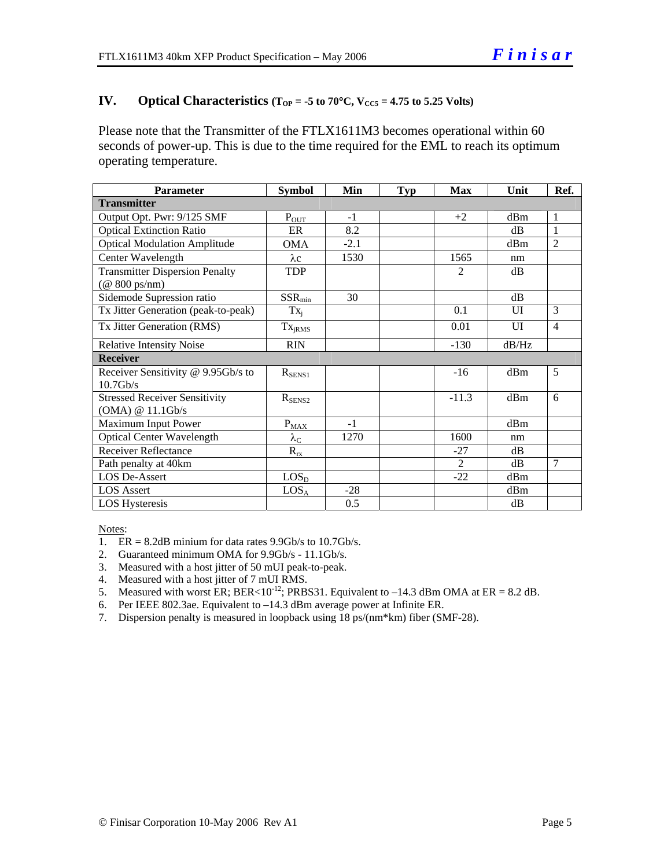#### **IV.** Optical Characteristics ( $T_{OP} = -5$  to  $70^{\circ}$ C,  $V_{CC5} = 4.75$  to 5.25 Volts)

Please note that the Transmitter of the FTLX1611M3 becomes operational within 60 seconds of power-up. This is due to the time required for the EML to reach its optimum operating temperature.

| <b>Parameter</b>                                                               | <b>Symbol</b>             | Min    | <b>Typ</b> | <b>Max</b>     | Unit               | Ref.           |
|--------------------------------------------------------------------------------|---------------------------|--------|------------|----------------|--------------------|----------------|
| <b>Transmitter</b>                                                             |                           |        |            |                |                    |                |
| Output Opt. Pwr: 9/125 SMF                                                     | $P_{OUT}$                 | $-1$   |            | $+2$           | dBm                | 1              |
| <b>Optical Extinction Ratio</b>                                                | ER                        | 8.2    |            |                | dB                 | 1              |
| <b>Optical Modulation Amplitude</b>                                            | <b>OMA</b>                | $-2.1$ |            |                | dBm                | $\overline{2}$ |
| Center Wavelength                                                              | $\lambda c$               | 1530   |            | 1565           | nm                 |                |
| <b>Transmitter Dispersion Penalty</b><br>$(\textcircled{a} 800 \text{ ps/nm})$ | <b>TDP</b>                |        |            | $\overline{2}$ | dB                 |                |
| Sidemode Supression ratio                                                      | $SSR_{min}$               | 30     |            |                | dB                 |                |
| Tx Jitter Generation (peak-to-peak)                                            | $Tx_i$                    |        |            | 0.1            | UI                 | 3              |
| Tx Jitter Generation (RMS)                                                     | Tx <sub>jRMS</sub>        |        |            | 0.01           | $\overline{\rm U}$ | $\overline{4}$ |
| <b>Relative Intensity Noise</b>                                                | <b>RIN</b>                |        |            | $-130$         | dB/Hz              |                |
| <b>Receiver</b>                                                                |                           |        |            |                |                    |                |
| Receiver Sensitivity @ 9.95Gb/s to<br>$10.7$ Gb/s                              | $R_{SENS1}$               |        |            | $-16$          | dBm                | 5              |
| <b>Stressed Receiver Sensitivity</b><br>(OMA) @ 11.1Gb/s                       | $R_{\text{SENS2}}$        |        |            | $-11.3$        | dBm                | 6              |
| Maximum Input Power                                                            | $P_{MAX}$                 | $-1$   |            |                | dBm                |                |
| <b>Optical Center Wavelength</b>                                               | $\lambda_{\underline{C}}$ | 1270   |            | 1600           | nm                 |                |
| <b>Receiver Reflectance</b>                                                    | $R_{rx}$                  |        |            | $-27$          | dB                 |                |
| Path penalty at 40km                                                           |                           |        |            | $\overline{2}$ | dB                 | $\overline{7}$ |
| LOS De-Assert                                                                  | LOS <sub>D</sub>          |        |            | $-22$          | dBm                |                |
| <b>LOS</b> Assert                                                              | $LOS_A$                   | $-28$  |            |                | dBm                |                |
| <b>LOS</b> Hysteresis                                                          |                           | 0.5    |            |                | dB                 |                |

Notes:

- 1.  $ER = 8.2dB$  minium for data rates 9.9Gb/s to 10.7Gb/s.
- 2. Guaranteed minimum OMA for 9.9Gb/s 11.1Gb/s.
- 3. Measured with a host jitter of 50 mUI peak-to-peak.
- 4. Measured with a host jitter of 7 mUI RMS.
- 5. Measured with worst ER; BER<10<sup>-12</sup>; PRBS31. Equivalent to  $-14.3$  dBm OMA at ER = 8.2 dB.
- 6. Per IEEE 802.3ae. Equivalent to –14.3 dBm average power at Infinite ER.
- 7. Dispersion penalty is measured in loopback using 18 ps/(nm\*km) fiber (SMF-28).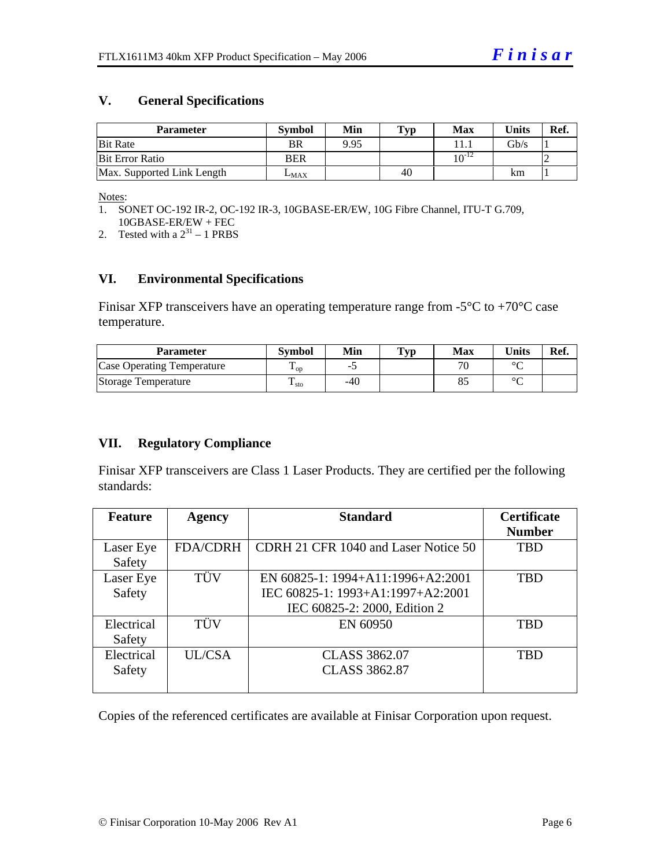#### **V. General Specifications**

| Parameter                  | <b>Symbol</b> | Min  | Typ | Max        | Units | Ref. |
|----------------------------|---------------|------|-----|------------|-------|------|
| <b>Bit Rate</b>            | <b>BR</b>     | 9.95 |     |            | Gb/s  |      |
| Bit Error Ratio            | <b>BER</b>    |      |     | $10^{-12}$ |       |      |
| Max. Supported Link Length | $L_{MAX}$     |      | 40  |            | km    |      |

Notes:

- 1. SONET OC-192 IR-2, OC-192 IR-3, 10GBASE-ER/EW, 10G Fibre Channel, ITU-T G.709, 10GBASE-ER/EW + FEC
- 2. Tested with a  $2^{31} 1$  PRBS

#### **VI. Environmental Specifications**

Finisar XFP transceivers have an operating temperature range from  $-5^{\circ}$ C to  $+70^{\circ}$ C case temperature.

| Parameter                  | <b>Symbol</b>          | Min | $\mathbf{Typ}$ | Max | <b>Units</b> | Ref. |
|----------------------------|------------------------|-----|----------------|-----|--------------|------|
| Case Operating Temperature | $\mathbf{1}_{OD}$      |     |                |     | $\sim$       |      |
| Storage Temperature        | m<br>$\frac{1}{1}$ sto | -40 |                | o.  | $\sim$       |      |

#### **VII. Regulatory Compliance**

Finisar XFP transceivers are Class 1 Laser Products. They are certified per the following standards:

| <b>Feature</b> | <b>Agency</b>   | <b>Standard</b>                      | <b>Certificate</b> |
|----------------|-----------------|--------------------------------------|--------------------|
|                |                 |                                      | <b>Number</b>      |
| Laser Eye      | <b>FDA/CDRH</b> | CDRH 21 CFR 1040 and Laser Notice 50 | <b>TBD</b>         |
| Safety         |                 |                                      |                    |
| Laser Eye      | TÜV             | EN 60825-1: 1994+A11:1996+A2:2001    | <b>TBD</b>         |
| Safety         |                 | IEC 60825-1: 1993+A1:1997+A2:2001    |                    |
|                |                 | IEC 60825-2: 2000, Edition 2         |                    |
| Electrical     | TÜV             | EN 60950                             | <b>TBD</b>         |
| Safety         |                 |                                      |                    |
| Electrical     | UL/CSA          | <b>CLASS 3862.07</b>                 | <b>TBD</b>         |
| Safety         |                 | <b>CLASS 3862.87</b>                 |                    |
|                |                 |                                      |                    |

Copies of the referenced certificates are available at Finisar Corporation upon request.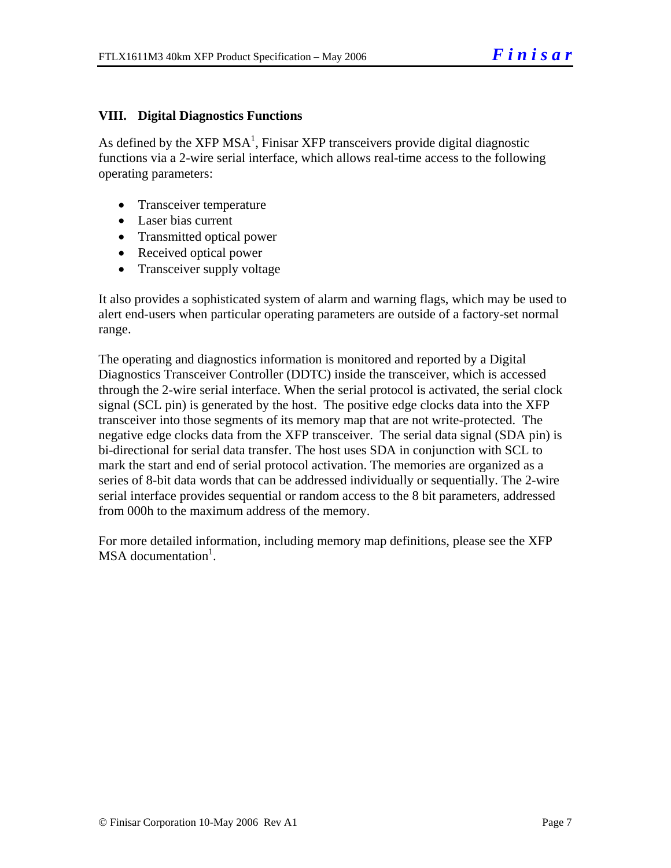#### **VIII. Digital Diagnostics Functions**

As defined by the XFP MSA<sup>1</sup>, Finisar XFP transceivers provide digital diagnostic functions via a 2-wire serial interface, which allows real-time access to the following operating parameters:

- Transceiver temperature
- Laser bias current
- Transmitted optical power
- Received optical power
- Transceiver supply voltage

It also provides a sophisticated system of alarm and warning flags, which may be used to alert end-users when particular operating parameters are outside of a factory-set normal range.

The operating and diagnostics information is monitored and reported by a Digital Diagnostics Transceiver Controller (DDTC) inside the transceiver, which is accessed through the 2-wire serial interface. When the serial protocol is activated, the serial clock signal (SCL pin) is generated by the host. The positive edge clocks data into the XFP transceiver into those segments of its memory map that are not write-protected. The negative edge clocks data from the XFP transceiver. The serial data signal (SDA pin) is bi-directional for serial data transfer. The host uses SDA in conjunction with SCL to mark the start and end of serial protocol activation. The memories are organized as a series of 8-bit data words that can be addressed individually or sequentially. The 2-wire serial interface provides sequential or random access to the 8 bit parameters, addressed from 000h to the maximum address of the memory.

For more detailed information, including memory map definitions, please see the XFP MSA documentation<sup>1</sup>.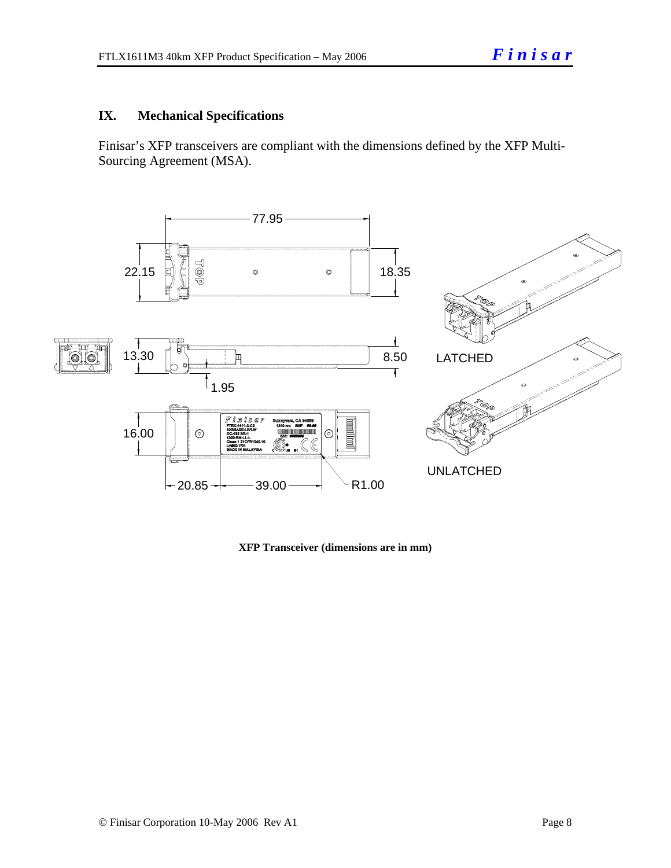#### **IX. Mechanical Specifications**

Finisar's XFP transceivers are compliant with the dimensions defined by the XFP Multi-Sourcing Agreement (MSA).



**XFP Transceiver (dimensions are in mm)**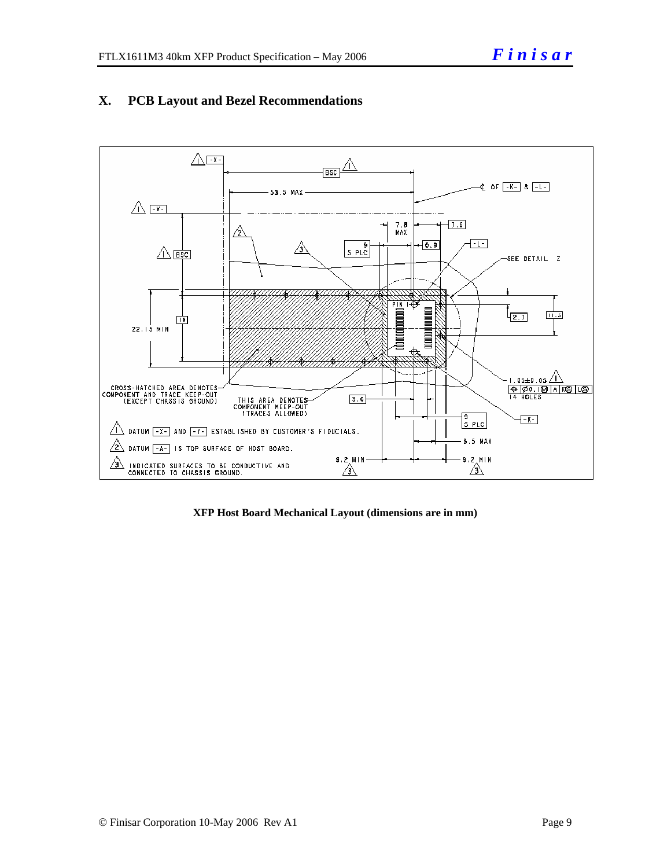

#### **X. PCB Layout and Bezel Recommendations**

**XFP Host Board Mechanical Layout (dimensions are in mm)**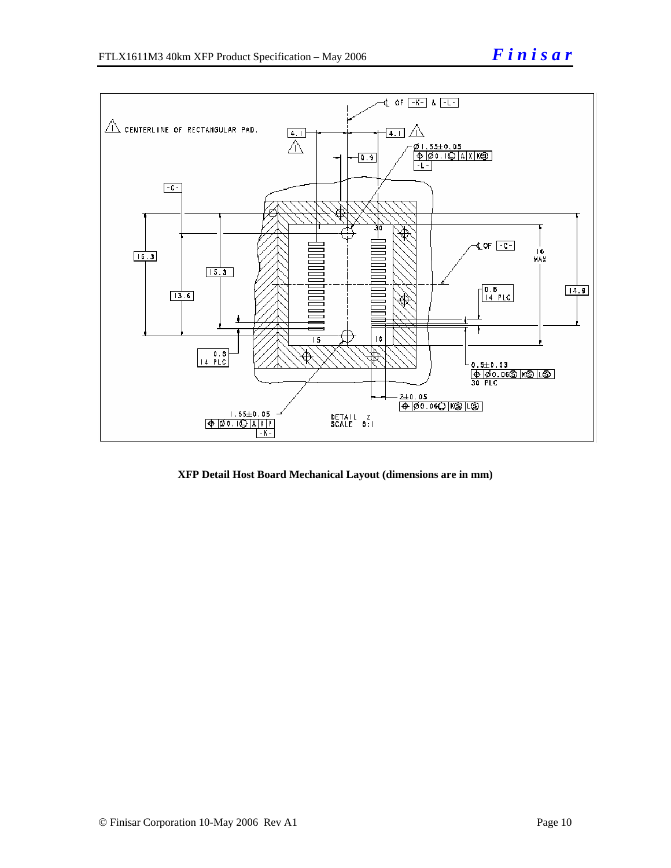

**XFP Detail Host Board Mechanical Layout (dimensions are in mm)**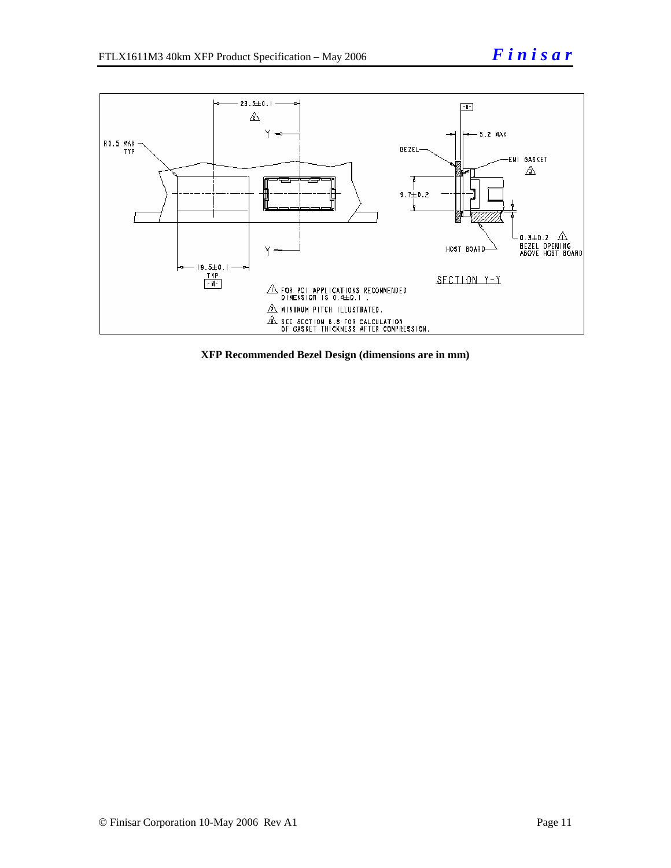

**XFP Recommended Bezel Design (dimensions are in mm)**